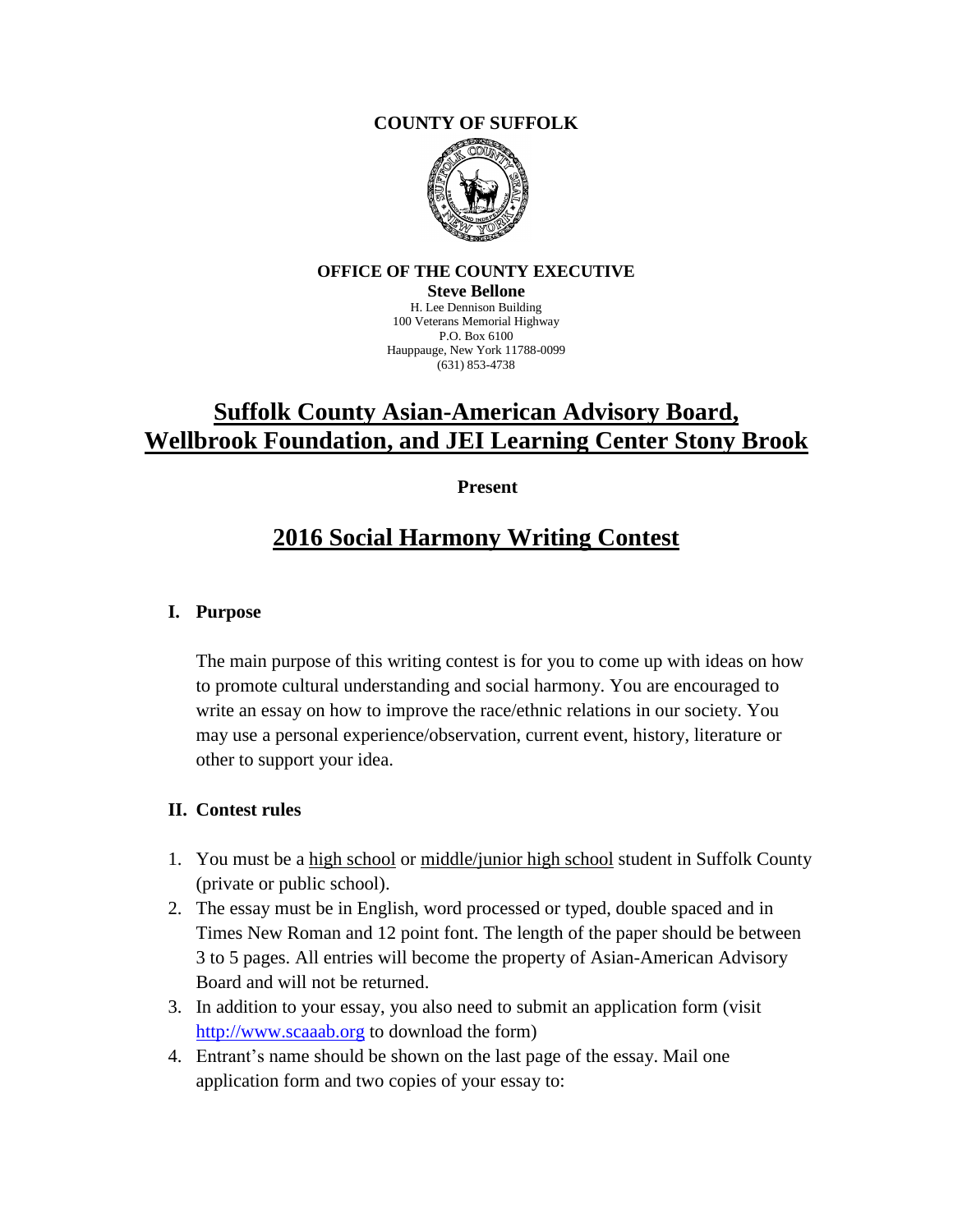### **COUNTY OF SUFFOLK**



#### **OFFICE OF THE COUNTY EXECUTIVE**

**Steve Bellone** H. Lee Dennison Building 100 Veterans Memorial Highway P.O. Box 6100 Hauppauge, New York 11788-0099 (631) 853-4738

# **Suffolk County Asian-American Advisory Board, Wellbrook Foundation, and JEI Learning Center Stony Brook**

 **Present**

# **2016 Social Harmony Writing Contest**

## **I. Purpose**

The main purpose of this writing contest is for you to come up with ideas on how to promote cultural understanding and social harmony. You are encouraged to write an essay on how to improve the race/ethnic relations in our society. You may use a personal experience/observation, current event, history, literature or other to support your idea.

#### **II. Contest rules**

- 1. You must be a high school or middle/junior high school student in Suffolk County (private or public school).
- 2. The essay must be in English, word processed or typed, double spaced and in Times New Roman and 12 point font. The length of the paper should be between 3 to 5 pages. All entries will become the property of Asian-American Advisory Board and will not be returned.
- 3. In addition to your essay, you also need to submit an application form (visit [http://www.scaaab.org](http://www.scaaab.org/) to download the form)
- 4. Entrant's name should be shown on the last page of the essay. Mail one application form and two copies of your essay to: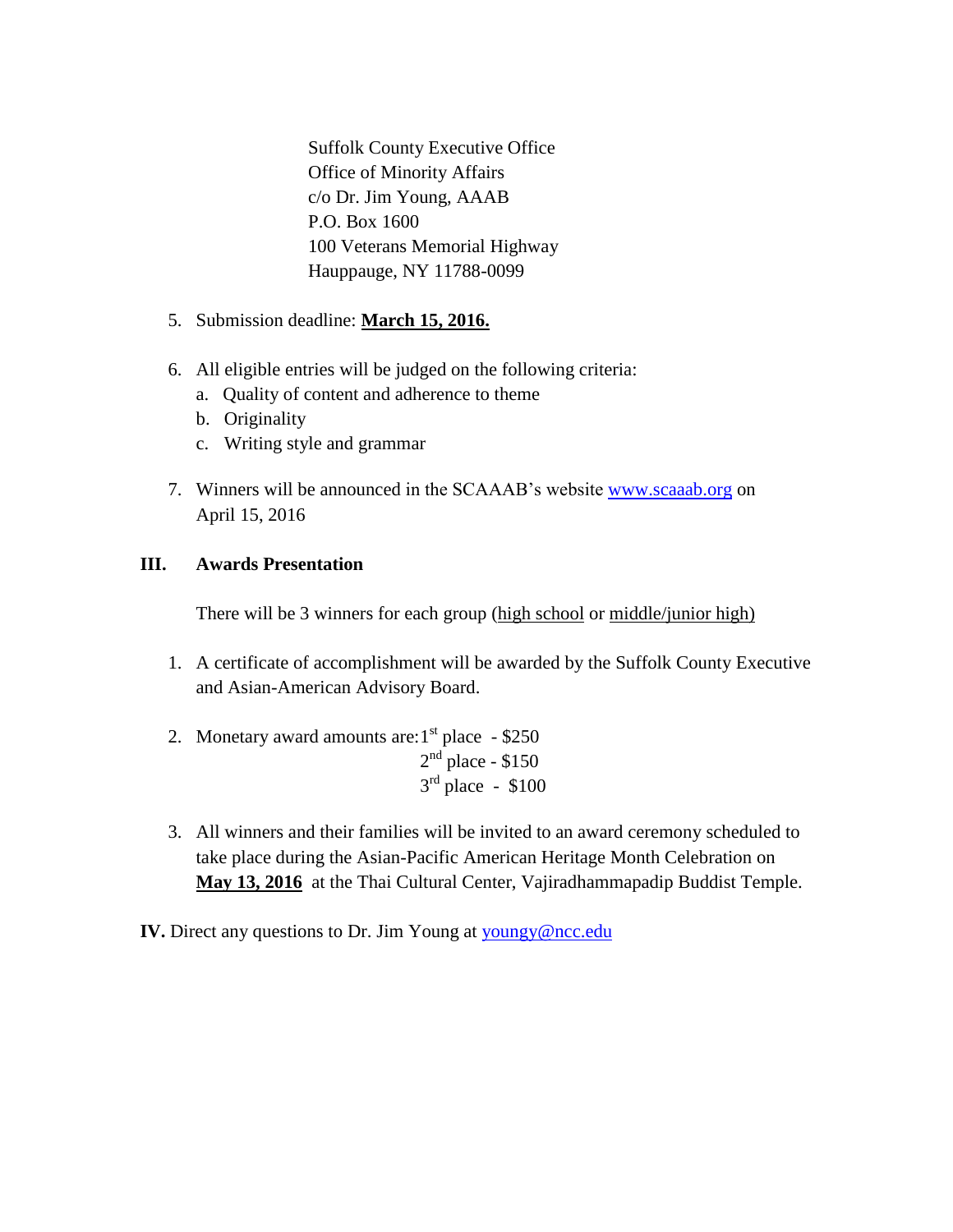Suffolk County Executive Office Office of Minority Affairs c/o Dr. Jim Young, AAAB P.O. Box 1600 100 Veterans Memorial Highway Hauppauge, NY 11788-0099

- 5. Submission deadline: **March 15, 2016.**
- 6. All eligible entries will be judged on the following criteria:
	- a. Quality of content and adherence to theme
	- b. Originality
	- c. Writing style and grammar
- 7. Winners will be announced in the SCAAAB's website [www.scaaab.org](http://www.scaaab.org/) on April 15, 2016

## **III. Awards Presentation**

There will be 3 winners for each group (high school or middle/junior high)

- 1. A certificate of accomplishment will be awarded by the Suffolk County Executive and Asian-American Advisory Board.
- 2. Monetary award amounts are:  $1<sup>st</sup>$  place  $-$  \$250  $2<sup>nd</sup>$  place - \$150  $3<sup>rd</sup>$  place - \$100
- 3. All winners and their families will be invited to an award ceremony scheduled to take place during the Asian-Pacific American Heritage Month Celebration on **May 13, 2016** at the Thai Cultural Center, Vajiradhammapadip Buddist Temple.
- **IV.** Direct any questions to Dr. Jim Young at [youngy@ncc.edu](mailto:youngy@ncc.edu)